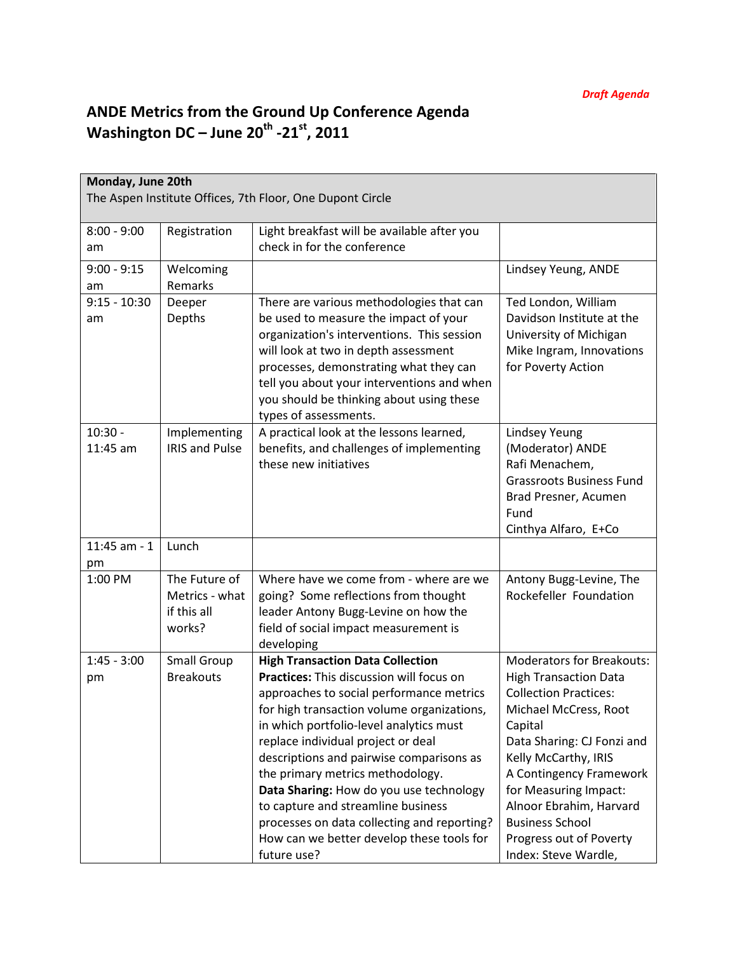## ANDE Metrics from the Ground Up Conference Agenda Washington DC – June 20<sup>th</sup> -21<sup>st</sup>, 2011

| Monday, June 20th                                         |                       |                                                                                    |                                                         |  |  |  |  |
|-----------------------------------------------------------|-----------------------|------------------------------------------------------------------------------------|---------------------------------------------------------|--|--|--|--|
| The Aspen Institute Offices, 7th Floor, One Dupont Circle |                       |                                                                                    |                                                         |  |  |  |  |
|                                                           |                       |                                                                                    |                                                         |  |  |  |  |
| $8:00 - 9:00$                                             | Registration          | Light breakfast will be available after you                                        |                                                         |  |  |  |  |
| am                                                        |                       | check in for the conference                                                        |                                                         |  |  |  |  |
| $9:00 - 9:15$                                             | Welcoming             |                                                                                    | Lindsey Yeung, ANDE                                     |  |  |  |  |
| am                                                        | Remarks               |                                                                                    |                                                         |  |  |  |  |
| $9:15 - 10:30$                                            | Deeper                | There are various methodologies that can                                           | Ted London, William                                     |  |  |  |  |
| am                                                        | Depths                | be used to measure the impact of your                                              | Davidson Institute at the                               |  |  |  |  |
|                                                           |                       | organization's interventions. This session<br>will look at two in depth assessment | University of Michigan<br>Mike Ingram, Innovations      |  |  |  |  |
|                                                           |                       | processes, demonstrating what they can                                             | for Poverty Action                                      |  |  |  |  |
|                                                           |                       | tell you about your interventions and when                                         |                                                         |  |  |  |  |
|                                                           |                       | you should be thinking about using these                                           |                                                         |  |  |  |  |
|                                                           |                       | types of assessments.                                                              |                                                         |  |  |  |  |
| $10:30 -$                                                 | Implementing          | A practical look at the lessons learned,                                           | <b>Lindsey Yeung</b>                                    |  |  |  |  |
| $11:45$ am                                                | <b>IRIS and Pulse</b> | benefits, and challenges of implementing                                           | (Moderator) ANDE                                        |  |  |  |  |
|                                                           |                       | these new initiatives                                                              | Rafi Menachem,                                          |  |  |  |  |
|                                                           |                       |                                                                                    | <b>Grassroots Business Fund</b><br>Brad Presner, Acumen |  |  |  |  |
|                                                           |                       |                                                                                    | Fund                                                    |  |  |  |  |
|                                                           |                       |                                                                                    | Cinthya Alfaro, E+Co                                    |  |  |  |  |
| $11:45$ am - 1                                            | Lunch                 |                                                                                    |                                                         |  |  |  |  |
| pm                                                        |                       |                                                                                    |                                                         |  |  |  |  |
| 1:00 PM                                                   | The Future of         | Where have we come from - where are we                                             | Antony Bugg-Levine, The                                 |  |  |  |  |
|                                                           | Metrics - what        | going? Some reflections from thought                                               | Rockefeller Foundation                                  |  |  |  |  |
|                                                           | if this all           | leader Antony Bugg-Levine on how the                                               |                                                         |  |  |  |  |
|                                                           | works?                | field of social impact measurement is                                              |                                                         |  |  |  |  |
| $1:45 - 3:00$                                             | <b>Small Group</b>    | developing<br><b>High Transaction Data Collection</b>                              | <b>Moderators for Breakouts:</b>                        |  |  |  |  |
| pm                                                        | <b>Breakouts</b>      | Practices: This discussion will focus on                                           | <b>High Transaction Data</b>                            |  |  |  |  |
|                                                           |                       | approaches to social performance metrics                                           | <b>Collection Practices:</b>                            |  |  |  |  |
|                                                           |                       | for high transaction volume organizations,                                         | Michael McCress, Root                                   |  |  |  |  |
|                                                           |                       | in which portfolio-level analytics must                                            | Capital                                                 |  |  |  |  |
|                                                           |                       | replace individual project or deal                                                 | Data Sharing: CJ Fonzi and                              |  |  |  |  |
|                                                           |                       | descriptions and pairwise comparisons as                                           | Kelly McCarthy, IRIS                                    |  |  |  |  |
|                                                           |                       | the primary metrics methodology.                                                   | A Contingency Framework                                 |  |  |  |  |
|                                                           |                       | Data Sharing: How do you use technology                                            | for Measuring Impact:                                   |  |  |  |  |
|                                                           |                       | to capture and streamline business<br>processes on data collecting and reporting?  | Alnoor Ebrahim, Harvard<br><b>Business School</b>       |  |  |  |  |
|                                                           |                       | How can we better develop these tools for                                          | Progress out of Poverty                                 |  |  |  |  |
|                                                           |                       | future use?                                                                        | Index: Steve Wardle,                                    |  |  |  |  |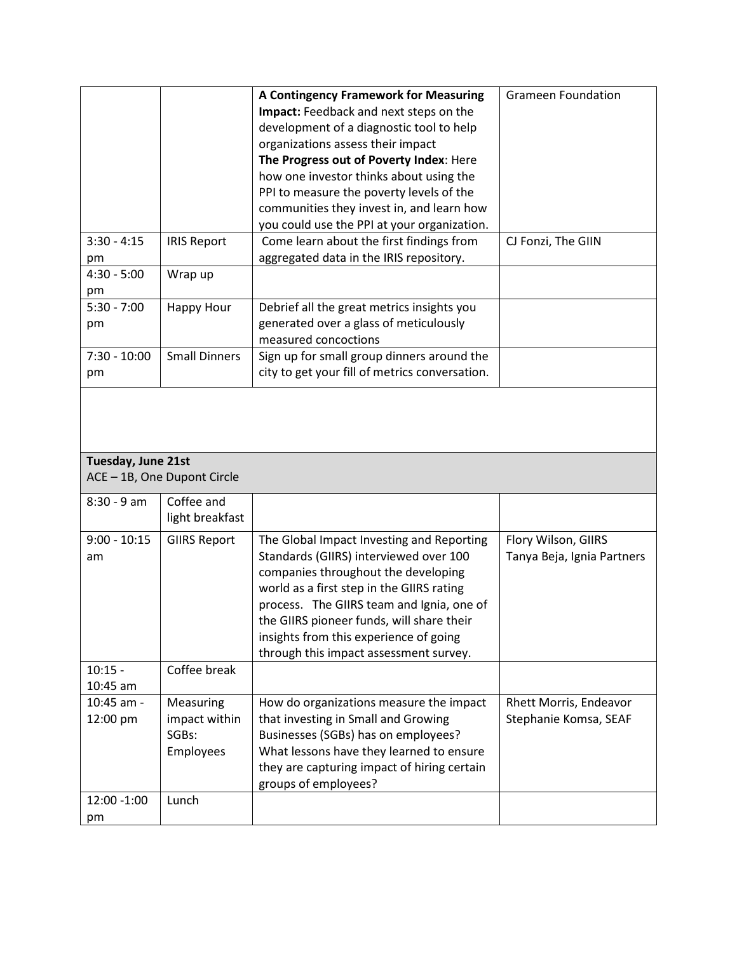|                                                   |                               | A Contingency Framework for Measuring          | <b>Grameen Foundation</b>  |  |  |
|---------------------------------------------------|-------------------------------|------------------------------------------------|----------------------------|--|--|
|                                                   |                               | Impact: Feedback and next steps on the         |                            |  |  |
|                                                   |                               | development of a diagnostic tool to help       |                            |  |  |
|                                                   |                               | organizations assess their impact              |                            |  |  |
|                                                   |                               | The Progress out of Poverty Index: Here        |                            |  |  |
|                                                   |                               | how one investor thinks about using the        |                            |  |  |
|                                                   |                               | PPI to measure the poverty levels of the       |                            |  |  |
|                                                   |                               | communities they invest in, and learn how      |                            |  |  |
|                                                   |                               | you could use the PPI at your organization.    |                            |  |  |
| $3:30 - 4:15$                                     | <b>IRIS Report</b>            | Come learn about the first findings from       | CJ Fonzi, The GIIN         |  |  |
| pm                                                |                               | aggregated data in the IRIS repository.        |                            |  |  |
| $4:30 - 5:00$                                     | Wrap up                       |                                                |                            |  |  |
| pm                                                |                               |                                                |                            |  |  |
| $5:30 - 7:00$                                     | <b>Happy Hour</b>             | Debrief all the great metrics insights you     |                            |  |  |
| pm                                                |                               | generated over a glass of meticulously         |                            |  |  |
|                                                   |                               | measured concoctions                           |                            |  |  |
| $7:30 - 10:00$                                    | <b>Small Dinners</b>          | Sign up for small group dinners around the     |                            |  |  |
| pm                                                |                               | city to get your fill of metrics conversation. |                            |  |  |
| Tuesday, June 21st<br>ACE - 1B, One Dupont Circle |                               |                                                |                            |  |  |
|                                                   |                               |                                                |                            |  |  |
|                                                   |                               |                                                |                            |  |  |
| 8:30 - 9 am                                       | Coffee and<br>light breakfast |                                                |                            |  |  |
| $9:00 - 10:15$                                    | <b>GIIRS Report</b>           | The Global Impact Investing and Reporting      | Flory Wilson, GIIRS        |  |  |
| am                                                |                               | Standards (GIIRS) interviewed over 100         | Tanya Beja, Ignia Partners |  |  |
|                                                   |                               | companies throughout the developing            |                            |  |  |
|                                                   |                               | world as a first step in the GIIRS rating      |                            |  |  |
|                                                   |                               | process. The GIIRS team and Ignia, one of      |                            |  |  |
|                                                   |                               | the GIIRS pioneer funds, will share their      |                            |  |  |
|                                                   |                               | insights from this experience of going         |                            |  |  |
|                                                   |                               | through this impact assessment survey.         |                            |  |  |
| $10:15 -$                                         | Coffee break                  |                                                |                            |  |  |
| 10:45 am                                          |                               |                                                |                            |  |  |
| 10:45 am -                                        | Measuring                     | How do organizations measure the impact        | Rhett Morris, Endeavor     |  |  |
| 12:00 pm                                          | impact within                 | that investing in Small and Growing            | Stephanie Komsa, SEAF      |  |  |
|                                                   | SGBs:                         | Businesses (SGBs) has on employees?            |                            |  |  |
|                                                   | Employees                     | What lessons have they learned to ensure       |                            |  |  |
|                                                   |                               | they are capturing impact of hiring certain    |                            |  |  |
| 12:00 -1:00                                       | Lunch                         | groups of employees?                           |                            |  |  |